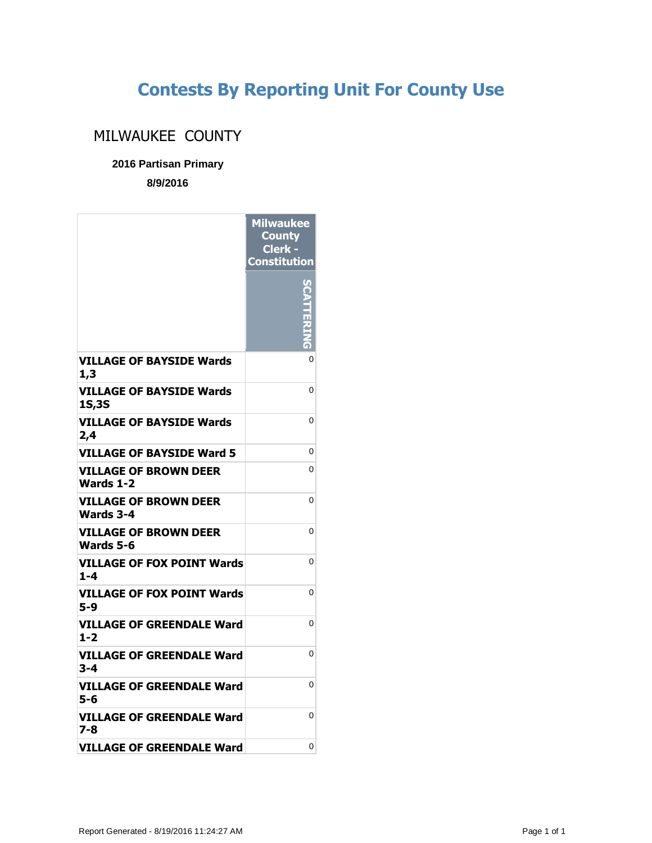## **Contests By Reporting Unit For County Use**

## MILWAUKEE COUNTY

**2016 Partisan Primary**

**8/9/2016**

|                                                  | <b>Milwaukee</b><br><b>County</b><br>Clerk -<br><b>Constitution</b> |
|--------------------------------------------------|---------------------------------------------------------------------|
|                                                  |                                                                     |
| <b>VILLAGE OF BAYSIDE Wards</b><br>1,3           | 0                                                                   |
| <b>VILLAGE OF BAYSIDE Wards</b><br>1S,3S         | 0                                                                   |
| <b>VILLAGE OF BAYSIDE Wards</b><br>2,4           | $\Omega$                                                            |
| <b>VILLAGE OF BAYSIDE Ward 5</b>                 | 0                                                                   |
| <b>VILLAGE OF BROWN DEER</b><br><b>Wards 1-2</b> | 0                                                                   |
| <b>VILLAGE OF BROWN DEER</b><br>Wards 3-4        | 0                                                                   |
| <b>VILLAGE OF BROWN DEER</b><br>Wards 5-6        | 0                                                                   |
| <b>VILLAGE OF FOX POINT Wards</b><br>$1 - 4$     | 0                                                                   |
| <b>VILLAGE OF FOX POINT Wards</b><br>5-9         | 0                                                                   |
| VILLAGE OF GREENDALE Ward<br>$1 - 2$             | 0                                                                   |
| VILLAGE OF GREENDALE Ward<br>3-4                 | 0                                                                   |
| VILLAGE OF GREENDALE Ward<br>5-6                 | 0                                                                   |
| <b>VILLAGE OF GREENDALE Ward</b><br>7-8          | 0                                                                   |
| <b>VILLAGE OF GREENDALE Ward</b>                 | 0                                                                   |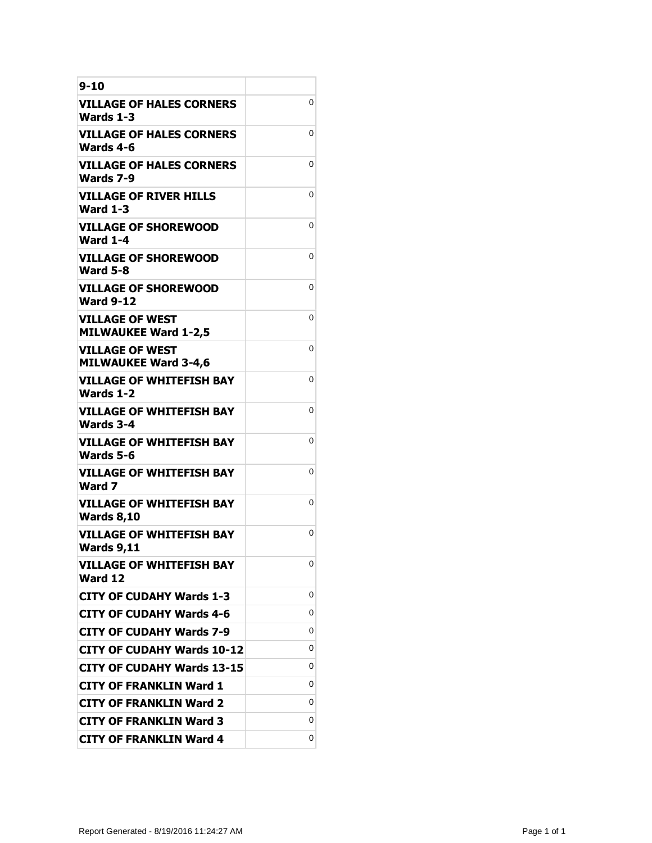| 9-10                                                  |   |
|-------------------------------------------------------|---|
| VILLAGE OF HALES CORNERS<br>Wards 1-3                 | 0 |
| <b>VILLAGE OF HALES CORNERS</b><br>Wards 4-6          | 0 |
| <b>VILLAGE OF HALES CORNERS</b><br>Wards 7-9          | 0 |
| <b>VILLAGE OF RIVER HILLS</b><br><b>Ward 1-3</b>      | 0 |
| <b>VILLAGE OF SHOREWOOD</b><br><b>Ward 1-4</b>        | 0 |
| <b>VILLAGE OF SHOREWOOD</b><br><b>Ward 5-8</b>        | 0 |
| <b>VILLAGE OF SHOREWOOD</b><br><b>Ward 9-12</b>       | 0 |
| VILLAGE OF WEST<br><b>MILWAUKEE Ward 1-2,5</b>        | 0 |
| <b>VILLAGE OF WEST</b><br><b>MILWAUKEE Ward 3-4,6</b> | 0 |
| <b>VILLAGE OF WHITEFISH BAY</b><br><b>Wards 1-2</b>   | 0 |
| VILLAGE OF WHITEFISH BAY<br>Wards 3-4                 | 0 |
| VILLAGE OF WHITEFISH BAY<br>Wards 5-6                 | 0 |
| VILLAGE OF WHITEFISH BAY<br>Ward 7                    | 0 |
| <b>VILLAGE OF WHITEFISH BAY</b><br><b>Wards 8,10</b>  | 0 |
| <b>VILLAGE OF WHITEFISH BAY</b><br><b>Wards 9,11</b>  | 0 |
| <b>VILLAGE OF WHITEFISH BAY</b><br>Ward 12            | 0 |
| <b>CITY OF CUDAHY Wards 1-3</b>                       | 0 |
| <b>CITY OF CUDAHY Wards 4-6</b>                       | 0 |
| <b>CITY OF CUDAHY Wards 7-9</b>                       | 0 |
| <b>CITY OF CUDAHY Wards 10-12</b>                     | 0 |
| <b>CITY OF CUDAHY Wards 13-15</b>                     | 0 |
| CITY OF FRANKLIN Ward 1                               | 0 |
| <b>CITY OF FRANKLIN Ward 2</b>                        | 0 |
| <b>CITY OF FRANKLIN Ward 3</b>                        | 0 |
| <b>CITY OF FRANKLIN Ward 4</b>                        | 0 |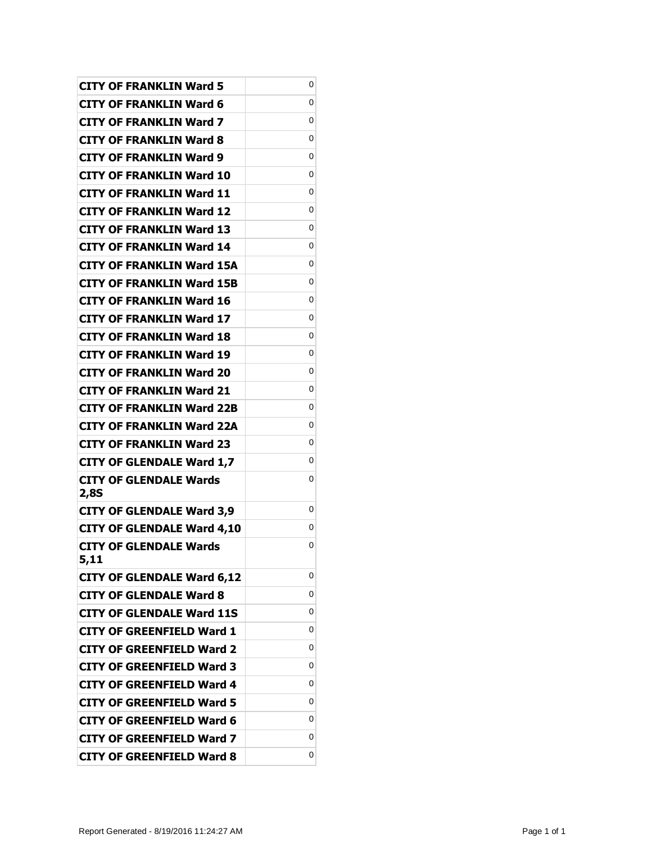| <b>CITY OF FRANKLIN Ward 5</b>        | 0 |
|---------------------------------------|---|
| CITY OF FRANKLIN Ward 6               | 0 |
| CITY OF FRANKLIN Ward 7               | 0 |
| <b>CITY OF FRANKLIN Ward 8</b>        | 0 |
| <b>CITY OF FRANKLIN Ward 9</b>        | 0 |
| CITY OF FRANKLIN Ward 10              | 0 |
| CITY OF FRANKLIN Ward 11              | 0 |
| CITY OF FRANKLIN Ward 12              | 0 |
| <b>CITY OF FRANKLIN Ward 13</b>       | 0 |
| <b>CITY OF FRANKLIN Ward 14</b>       | 0 |
| <b>CITY OF FRANKLIN Ward 15A</b>      | 0 |
| <b>CITY OF FRANKLIN Ward 15B</b>      | 0 |
| CITY OF FRANKLIN Ward 16              | 0 |
| <b>CITY OF FRANKLIN Ward 17</b>       | 0 |
| <b>CITY OF FRANKLIN Ward 18</b>       | 0 |
| <b>CITY OF FRANKLIN Ward 19</b>       | 0 |
| <b>CITY OF FRANKLIN Ward 20</b>       | 0 |
| CITY OF FRANKLIN Ward 21              | 0 |
| <b>CITY OF FRANKLIN Ward 22B</b>      | 0 |
| <b>CITY OF FRANKLIN Ward 22A</b>      | 0 |
| <b>CITY OF FRANKLIN Ward 23</b>       | 0 |
| <b>CITY OF GLENDALE Ward 1,7</b>      | 0 |
| <b>CITY OF GLENDALE Wards</b>         | 0 |
| 2,8S                                  |   |
| <b>CITY OF GLENDALE Ward 3,9</b>      | 0 |
| <b>CITY OF GLENDALE Ward 4,10</b>     | 0 |
| <b>CITY OF GLENDALE Wards</b><br>5,11 | 0 |
| <b>CITY OF GLENDALE Ward 6,12</b>     | 0 |
| <b>CITY OF GLENDALE Ward 8</b>        | 0 |
| <b>CITY OF GLENDALE Ward 11S</b>      | 0 |
| <b>CITY OF GREENFIELD Ward 1</b>      | 0 |
| <b>CITY OF GREENFIELD Ward 2</b>      | 0 |
| <b>CITY OF GREENFIELD Ward 3</b>      | 0 |
| CITY OF GREENFIELD Ward 4             | 0 |
| <b>CITY OF GREENFIELD Ward 5</b>      | 0 |
| <b>CITY OF GREENFIELD Ward 6</b>      | 0 |
| <b>CITY OF GREENFIELD Ward 7</b>      | 0 |
| <b>CITY OF GREENFIELD Ward 8</b>      | 0 |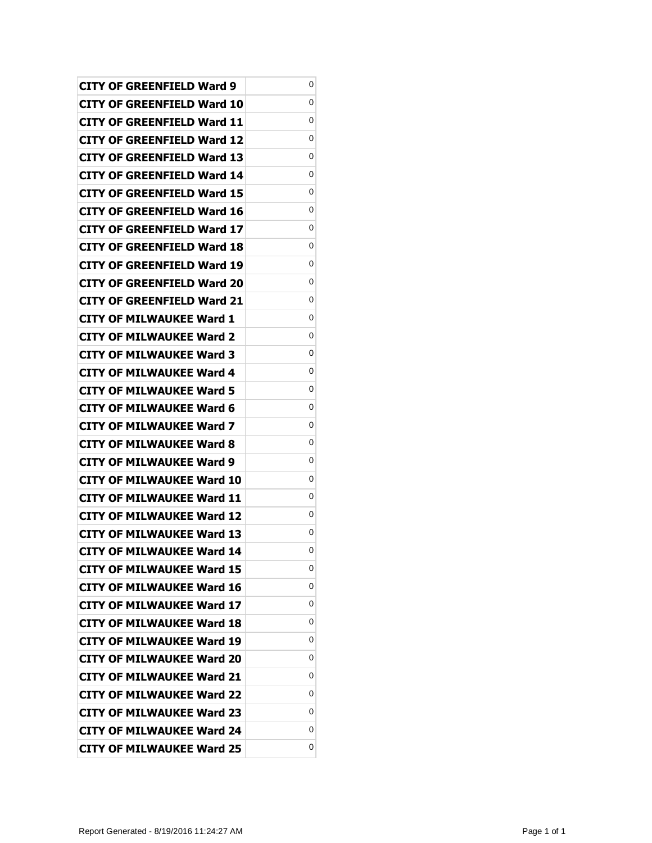| CITY OF GREENFIELD Ward 9         | 0 |
|-----------------------------------|---|
| CITY OF GREENFIELD Ward 10        | 0 |
| CITY OF GREENFIELD Ward 11        | 0 |
| CITY OF GREENFIELD Ward 12        | 0 |
| <b>CITY OF GREENFIELD Ward 13</b> | 0 |
| CITY OF GREENFIELD Ward 14        | 0 |
| CITY OF GREENFIELD Ward 15        | 0 |
| CITY OF GREENFIELD Ward 16        | 0 |
| CITY OF GREENFIELD Ward 17        | 0 |
| CITY OF GREENFIELD Ward 18        | 0 |
| <b>CITY OF GREENFIELD Ward 19</b> | 0 |
| CITY OF GREENFIELD Ward 20        | 0 |
| CITY OF GREENFIELD Ward 21        | 0 |
| CITY OF MILWAUKEE Ward 1          | 0 |
| <b>CITY OF MILWAUKEE Ward 2</b>   | 0 |
| CITY OF MILWAUKEE Ward 3          | 0 |
| <b>CITY OF MILWAUKEE Ward 4</b>   | 0 |
| <b>CITY OF MILWAUKEE Ward 5</b>   | 0 |
| CITY OF MILWAUKEE Ward 6          | 0 |
| <b>CITY OF MILWAUKEE Ward 7</b>   | 0 |
| <b>CITY OF MILWAUKEE Ward 8</b>   | 0 |
| <b>CITY OF MILWAUKEE Ward 9</b>   | 0 |
| CITY OF MILWAUKEE Ward 10         | 0 |
| <b>CITY OF MILWAUKEE Ward 11</b>  | 0 |
| <b>CITY OF MILWAUKEE Ward 12</b>  | 0 |
| <b>CITY OF MILWAUKEE Ward 13</b>  | 0 |
| <b>CITY OF MILWAUKEE Ward 14</b>  | 0 |
| <b>CITY OF MILWAUKEE Ward 15</b>  | 0 |
| <b>CITY OF MILWAUKEE Ward 16</b>  | 0 |
| <b>CITY OF MILWAUKEE Ward 17</b>  | 0 |
| <b>CITY OF MILWAUKEE Ward 18</b>  | 0 |
| <b>CITY OF MILWAUKEE Ward 19</b>  | 0 |
| <b>CITY OF MILWAUKEE Ward 20</b>  | 0 |
| <b>CITY OF MILWAUKEE Ward 21</b>  | 0 |
| <b>CITY OF MILWAUKEE Ward 22</b>  | 0 |
| <b>CITY OF MILWAUKEE Ward 23</b>  | 0 |
| <b>CITY OF MILWAUKEE Ward 24</b>  | 0 |
| <b>CITY OF MILWAUKEE Ward 25</b>  | 0 |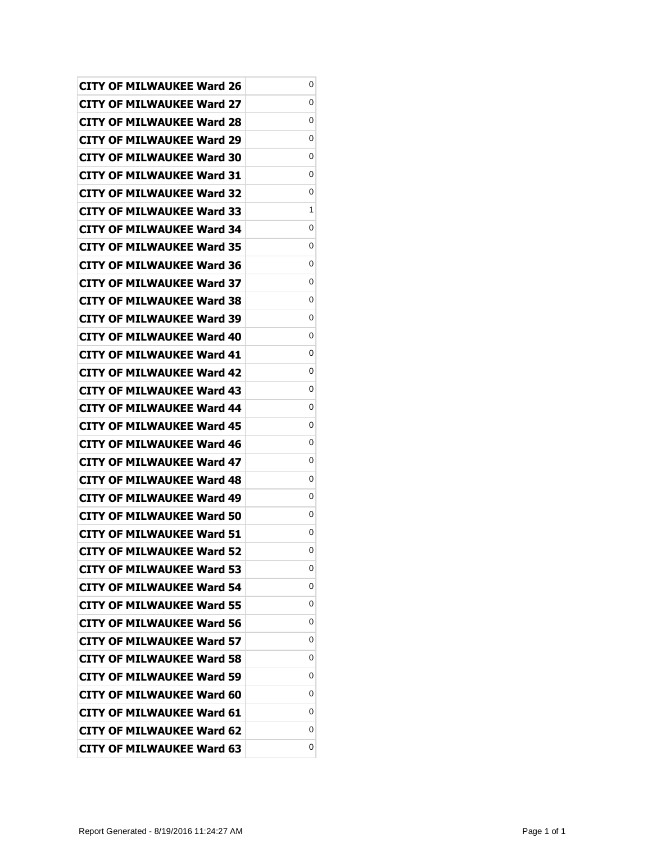| <b>CITY OF MILWAUKEE Ward 26</b> | 0 |
|----------------------------------|---|
| CITY OF MILWAUKEE Ward 27        | 0 |
| <b>CITY OF MILWAUKEE Ward 28</b> | 0 |
| CITY OF MILWAUKEE Ward 29        | 0 |
| <b>CITY OF MILWAUKEE Ward 30</b> | 0 |
| <b>CITY OF MILWAUKEE Ward 31</b> | 0 |
| <b>CITY OF MILWAUKEE Ward 32</b> | 0 |
| <b>CITY OF MILWAUKEE Ward 33</b> | 1 |
| <b>CITY OF MILWAUKEE Ward 34</b> | 0 |
| <b>CITY OF MILWAUKEE Ward 35</b> | 0 |
| <b>CITY OF MILWAUKEE Ward 36</b> | 0 |
| <b>CITY OF MILWAUKEE Ward 37</b> | 0 |
| <b>CITY OF MILWAUKEE Ward 38</b> | 0 |
| <b>CITY OF MILWAUKEE Ward 39</b> | 0 |
| <b>CITY OF MILWAUKEE Ward 40</b> | 0 |
| <b>CITY OF MILWAUKEE Ward 41</b> | 0 |
| CITY OF MILWAUKEE Ward 42        | 0 |
| <b>CITY OF MILWAUKEE Ward 43</b> | 0 |
| <b>CITY OF MILWAUKEE Ward 44</b> | 0 |
| <b>CITY OF MILWAUKEE Ward 45</b> | 0 |
| <b>CITY OF MILWAUKEE Ward 46</b> | 0 |
| <b>CITY OF MILWAUKEE Ward 47</b> | 0 |
| CITY OF MILWAUKEE Ward 48        | 0 |
| <b>CITY OF MILWAUKEE Ward 49</b> | 0 |
| <b>CITY OF MILWAUKEE Ward 50</b> | 0 |
| <b>CITY OF MILWAUKEE Ward 51</b> | 0 |
| <b>CITY OF MILWAUKEE Ward 52</b> | 0 |
| <b>CITY OF MILWAUKEE Ward 53</b> | 0 |
| <b>CITY OF MILWAUKEE Ward 54</b> | 0 |
| <b>CITY OF MILWAUKEE Ward 55</b> | 0 |
| <b>CITY OF MILWAUKEE Ward 56</b> | 0 |
| <b>CITY OF MILWAUKEE Ward 57</b> | 0 |
| <b>CITY OF MILWAUKEE Ward 58</b> | 0 |
| <b>CITY OF MILWAUKEE Ward 59</b> | 0 |
| <b>CITY OF MILWAUKEE Ward 60</b> | 0 |
| <b>CITY OF MILWAUKEE Ward 61</b> | 0 |
| <b>CITY OF MILWAUKEE Ward 62</b> | 0 |
| <b>CITY OF MILWAUKEE Ward 63</b> | 0 |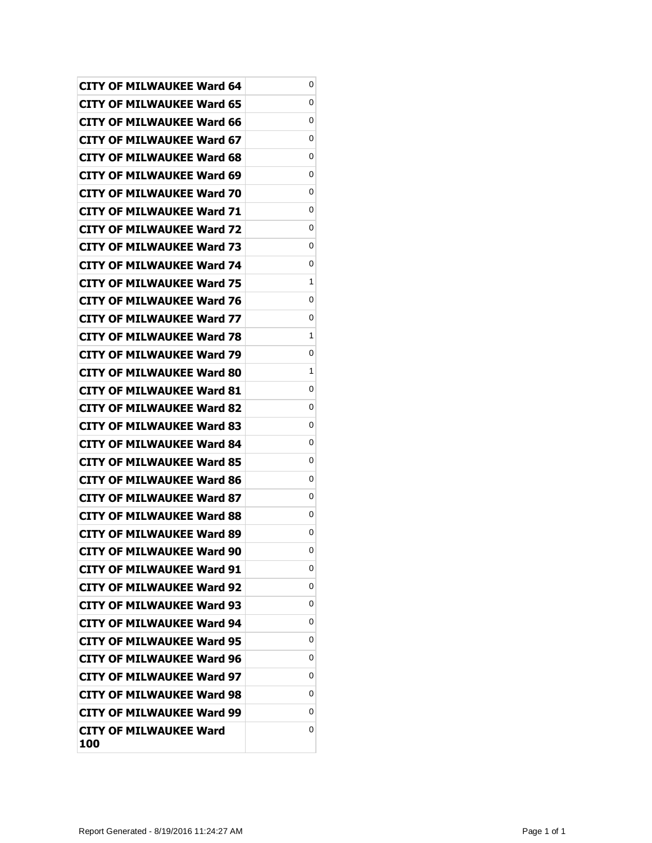| <b>CITY OF MILWAUKEE Ward 64</b>     | 0 |
|--------------------------------------|---|
| <b>CITY OF MILWAUKEE Ward 65</b>     | 0 |
| <b>CITY OF MILWAUKEE Ward 66</b>     | 0 |
| CITY OF MILWAUKEE Ward 67            | 0 |
| <b>CITY OF MILWAUKEE Ward 68</b>     | 0 |
| CITY OF MILWAUKEE Ward 69            | 0 |
| <b>CITY OF MILWAUKEE Ward 70</b>     | 0 |
| CITY OF MILWAUKEE Ward 71            | 0 |
| <b>CITY OF MILWAUKEE Ward 72</b>     | 0 |
| CITY OF MILWAUKEE Ward 73            | 0 |
| <b>CITY OF MILWAUKEE Ward 74</b>     | 0 |
| CITY OF MILWAUKEE Ward 75            | 1 |
| <b>CITY OF MILWAUKEE Ward 76</b>     | 0 |
| <b>CITY OF MILWAUKEE Ward 77</b>     | 0 |
| <b>CITY OF MILWAUKEE Ward 78</b>     | 1 |
| <b>CITY OF MILWAUKEE Ward 79</b>     | 0 |
| CITY OF MILWAUKEE Ward 80            | 1 |
| <b>CITY OF MILWAUKEE Ward 81</b>     | 0 |
| <b>CITY OF MILWAUKEE Ward 82</b>     | 0 |
| <b>CITY OF MILWAUKEE Ward 83</b>     | 0 |
| <b>CITY OF MILWAUKEE Ward 84</b>     | 0 |
| <b>CITY OF MILWAUKEE Ward 85</b>     | 0 |
| CITY OF MILWAUKEE Ward 86            | 0 |
| <b>CITY OF MILWAUKEE Ward 87</b>     | 0 |
| <b>CITY OF MILWAUKEE Ward 88</b>     | 0 |
| CITY OF MILWAUKEE Ward 89            | 0 |
| <b>CITY OF MILWAUKEE Ward 90</b>     | 0 |
| <b>CITY OF MILWAUKEE Ward 91</b>     | 0 |
| <b>CITY OF MILWAUKEE Ward 92</b>     | 0 |
| <b>CITY OF MILWAUKEE Ward 93</b>     | 0 |
| <b>CITY OF MILWAUKEE Ward 94</b>     | 0 |
| <b>CITY OF MILWAUKEE Ward 95</b>     | 0 |
| <b>CITY OF MILWAUKEE Ward 96</b>     | 0 |
| <b>CITY OF MILWAUKEE Ward 97</b>     | 0 |
| <b>CITY OF MILWAUKEE Ward 98</b>     | 0 |
| <b>CITY OF MILWAUKEE Ward 99</b>     | 0 |
| <b>CITY OF MILWAUKEE Ward</b><br>100 | 0 |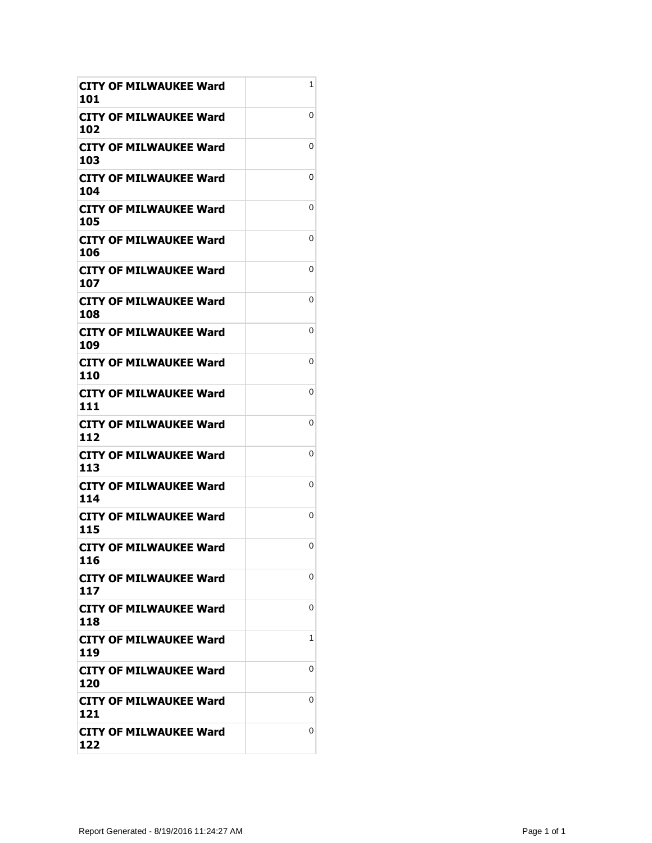| <b>CITY OF MILWAUKEE Ward</b><br>101 | 1 |
|--------------------------------------|---|
| <b>CITY OF MILWAUKEE Ward</b><br>102 | 0 |
| CITY OF MILWAUKEE Ward<br>103        | 0 |
| <b>CITY OF MILWAUKEE Ward</b><br>104 | 0 |
| CITY OF MILWAUKEE Ward<br>105        | 0 |
| <b>CITY OF MILWAUKEE Ward</b><br>106 | 0 |
| CITY OF MILWAUKEE Ward<br>107        | 0 |
| CITY OF MILWAUKEE Ward<br>108        | 0 |
| <b>CITY OF MILWAUKEE Ward</b><br>109 | 0 |
| CITY OF MILWAUKEE Ward<br>110        | 0 |
| CITY OF MILWAUKEE Ward<br>111        | 0 |
| CITY OF MILWAUKEE Ward<br>112        | 0 |
| <b>CITY OF MILWAUKEE Ward</b><br>113 | 0 |
| CITY OF MILWAUKEE Ward<br>114        | 0 |
| <b>CITY OF MILWAUKEE Ward</b><br>115 | 0 |
| <b>CITY OF MILWAUKEE Ward</b><br>116 | 0 |
| CITY OF MILWAUKEE Ward<br>117        | 0 |
| CITY OF MILWAUKEE Ward<br>118        | 0 |
| <b>CITY OF MILWAUKEE Ward</b><br>119 | 1 |
| <b>CITY OF MILWAUKEE Ward</b><br>120 | 0 |
| CITY OF MILWAUKEE Ward<br>121        | 0 |
| <b>CITY OF MILWAUKEE Ward</b><br>122 | 0 |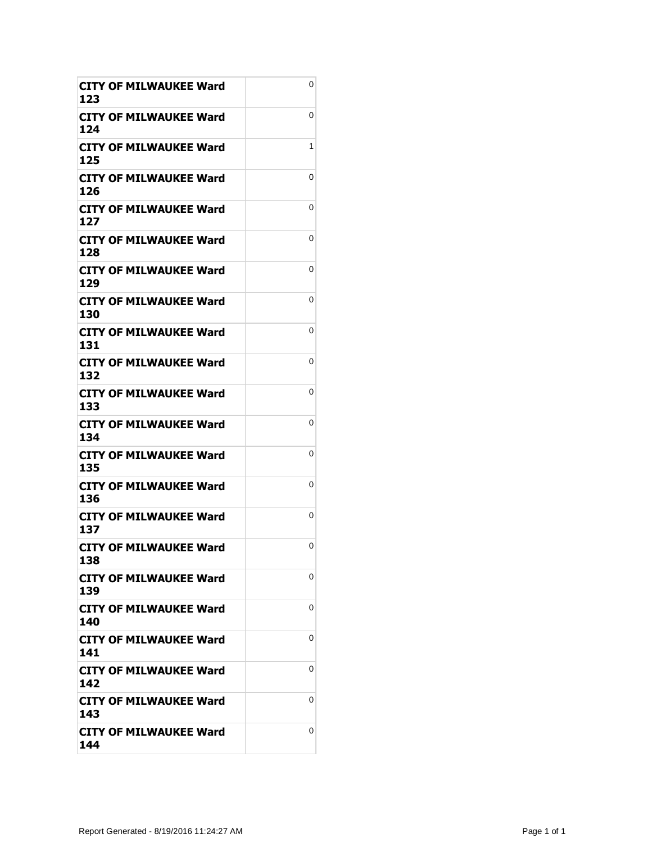| <b>CITY OF MILWAUKEE Ward</b><br>123 | 0 |
|--------------------------------------|---|
| CITY OF MILWAUKEE Ward<br>124        | 0 |
| CITY OF MILWAUKEE Ward<br>125        | 1 |
| <b>CITY OF MILWAUKEE Ward</b><br>126 | 0 |
| CITY OF MILWAUKEE Ward<br>127        | 0 |
| CITY OF MILWAUKEE Ward<br>128        | 0 |
| <b>CITY OF MILWAUKEE Ward</b><br>129 | 0 |
| <b>CITY OF MILWAUKEE Ward</b><br>130 | 0 |
| CITY OF MILWAUKEE Ward<br>131        | 0 |
| CITY OF MILWAUKEE Ward<br>132        | 0 |
| <b>CITY OF MILWAUKEE Ward</b><br>133 | 0 |
| CITY OF MILWAUKEE Ward<br>134        | 0 |
| <b>CITY OF MILWAUKEE Ward</b><br>135 | 0 |
| CITY OF MILWAUKEE Ward<br>136        | 0 |
| CITY OF MILWAUKEE Ward<br>137        | 0 |
| <b>CITY OF MILWAUKEE Ward</b><br>138 | 0 |
| CITY OF MILWAUKEE Ward<br>139        | 0 |
| <b>CITY OF MILWAUKEE Ward</b><br>140 | 0 |
| <b>CITY OF MILWAUKEE Ward</b><br>141 | 0 |
| CITY OF MILWAUKEE Ward<br>142        | 0 |
| <b>CITY OF MILWAUKEE Ward</b><br>143 | 0 |
| <b>CITY OF MILWAUKEE Ward</b><br>144 | 0 |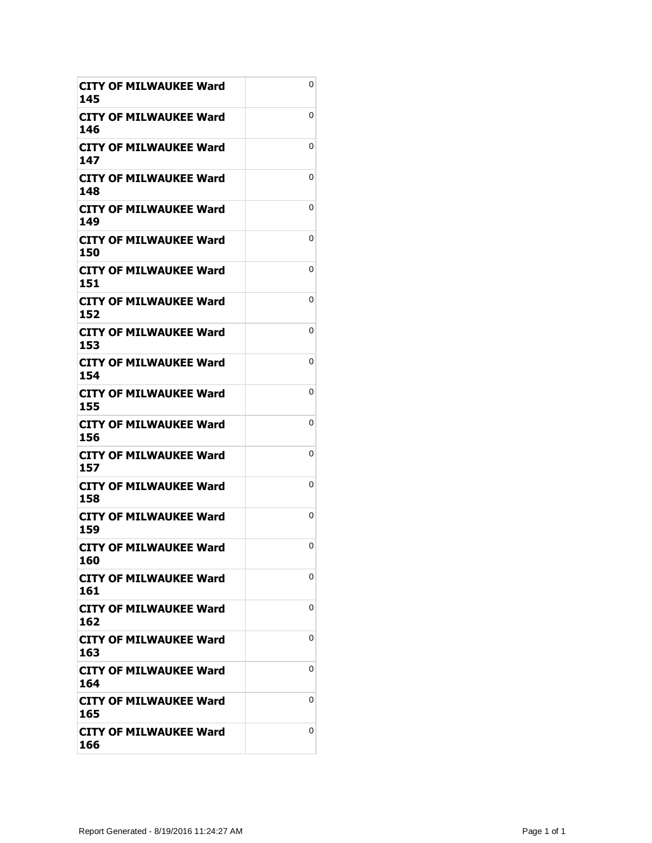| CITY OF MILWAUKEE Ward<br>145        | 0 |
|--------------------------------------|---|
| CITY OF MILWAUKEE Ward<br>146        | 0 |
| CITY OF MILWAUKEE Ward<br>147        | 0 |
| <b>CITY OF MILWAUKEE Ward</b><br>148 | 0 |
| <b>CITY OF MILWAUKEE Ward</b><br>149 | 0 |
| CITY OF MILWAUKEE Ward<br>150        | 0 |
| CITY OF MILWAUKEE Ward<br>151        | 0 |
| <b>CITY OF MILWAUKEE Ward</b><br>152 | 0 |
| CITY OF MILWAUKEE Ward<br>153        | 0 |
| <b>CITY OF MILWAUKEE Ward</b><br>154 | 0 |
| <b>CITY OF MILWAUKEE Ward</b><br>155 | 0 |
| <b>CITY OF MILWAUKEE Ward</b><br>156 | 0 |
| <b>CITY OF MILWAUKEE Ward</b><br>157 | 0 |
| CITY OF MILWAUKEE Ward<br>158        | 0 |
| <b>CITY OF MILWAUKEE Ward</b><br>159 | 0 |
| <b>CITY OF MILWAUKEE Ward</b><br>160 | 0 |
| CITY OF MILWAUKEE Ward<br>161        | 0 |
| <b>CITY OF MILWAUKEE Ward</b><br>162 | 0 |
| <b>CITY OF MILWAUKEE Ward</b><br>163 | 0 |
| CITY OF MILWAUKEE Ward<br>164        | 0 |
| <b>CITY OF MILWAUKEE Ward</b><br>165 | 0 |
| <b>CITY OF MILWAUKEE Ward</b><br>166 | 0 |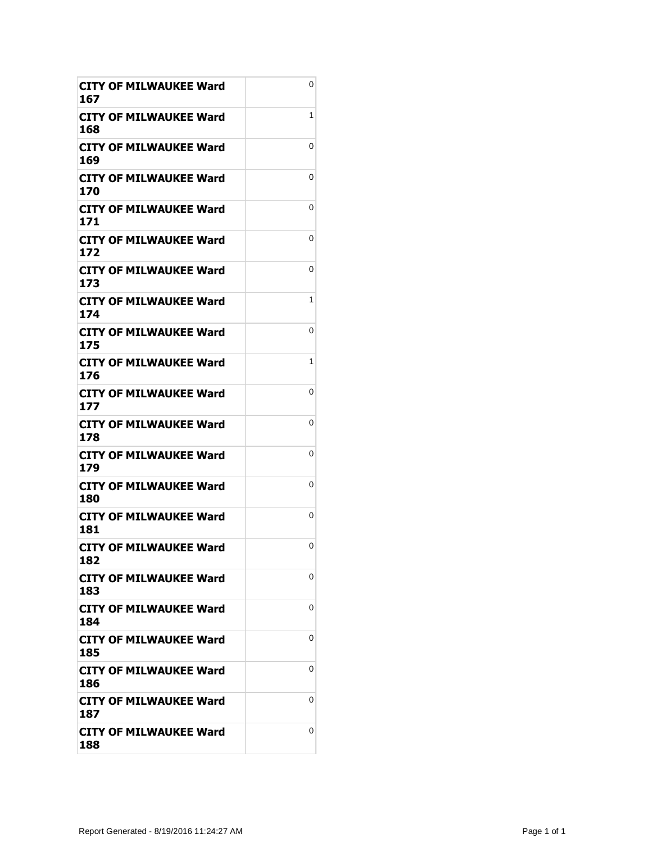| CITY OF MILWAUKEE Ward<br>167        | 0 |
|--------------------------------------|---|
| CITY OF MILWAUKEE Ward<br>168        | 1 |
| CITY OF MILWAUKEE Ward<br>169        | 0 |
| <b>CITY OF MILWAUKEE Ward</b><br>170 | 0 |
| CITY OF MILWAUKEE Ward<br>171        | 0 |
| <b>CITY OF MILWAUKEE Ward</b><br>172 | 0 |
| <b>CITY OF MILWAUKEE Ward</b><br>173 | 0 |
| <b>CITY OF MILWAUKEE Ward</b><br>174 | 1 |
| CITY OF MILWAUKEE Ward<br>175        | 0 |
| CITY OF MILWAUKEE Ward<br>176        | 1 |
| <b>CITY OF MILWAUKEE Ward</b><br>177 | 0 |
| CITY OF MILWAUKEE Ward<br>178        | 0 |
| CITY OF MILWAUKEE Ward<br>179        | 0 |
| CITY OF MILWAUKEE Ward<br>180        | 0 |
| CITY OF MILWAUKEE Ward<br>181        | 0 |
| <b>CITY OF MILWAUKEE Ward</b><br>182 | 0 |
| CITY OF MILWAUKEE Ward<br>183        | 0 |
| CITY OF MILWAUKEE Ward<br>184        | 0 |
| <b>CITY OF MILWAUKEE Ward</b><br>185 | 0 |
| CITY OF MILWAUKEE Ward<br>186        | 0 |
| <b>CITY OF MILWAUKEE Ward</b><br>187 | 0 |
| <b>CITY OF MILWAUKEE Ward</b><br>188 | 0 |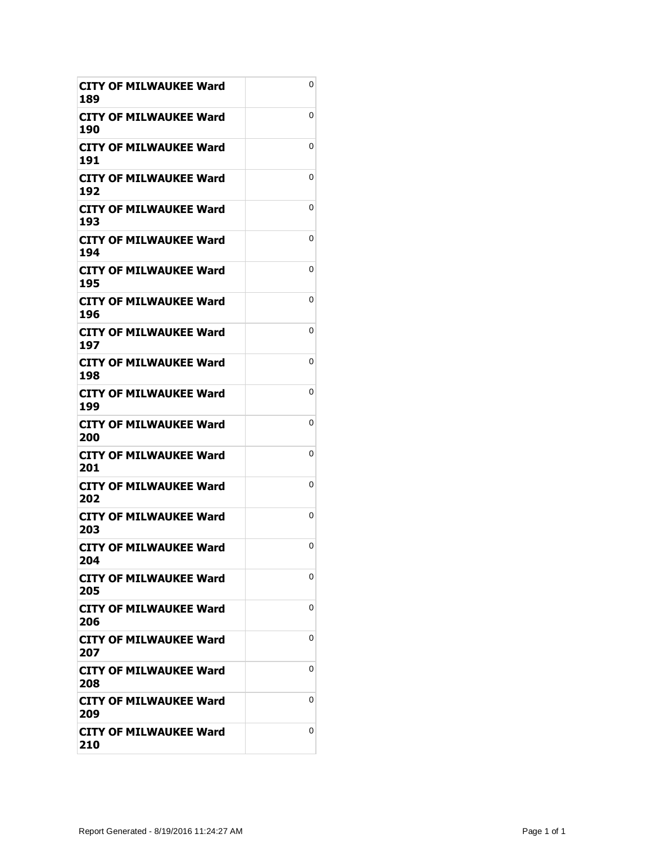| <b>CITY OF MILWAUKEE Ward</b><br>189 | 0 |
|--------------------------------------|---|
| <b>CITY OF MILWAUKEE Ward</b><br>190 | 0 |
| CITY OF MILWAUKEE Ward<br>191        | 0 |
| <b>CITY OF MILWAUKEE Ward</b><br>192 | 0 |
| <b>CITY OF MILWAUKEE Ward</b><br>193 | 0 |
| <b>CITY OF MILWAUKEE Ward</b><br>194 | 0 |
| CITY OF MILWAUKEE Ward<br>195        | 0 |
| CITY OF MILWAUKEE Ward<br>196        | 0 |
| CITY OF MILWAUKEE Ward<br>197        | 0 |
| CITY OF MILWAUKEE Ward<br>198        | 0 |
| <b>CITY OF MILWAUKEE Ward</b><br>199 | 0 |
| CITY OF MILWAUKEE Ward<br>200        | 0 |
| <b>CITY OF MILWAUKEE Ward</b><br>201 | 0 |
| CITY OF MILWAUKEE Ward<br>202        | 0 |
| <b>CITY OF MILWAUKEE Ward</b><br>203 | 0 |
| <b>CITY OF MILWAUKEE Ward</b><br>204 | 0 |
| <b>CITY OF MILWAUKEE Ward</b><br>205 | 0 |
| CITY OF MILWAUKEE Ward<br>206        | 0 |
| <b>CITY OF MILWAUKEE Ward</b><br>207 | 0 |
| <b>CITY OF MILWAUKEE Ward</b><br>208 | 0 |
| CITY OF MILWAUKEE Ward<br>209        | 0 |
| CITY OF MILWAUKEE Ward<br>210        | 0 |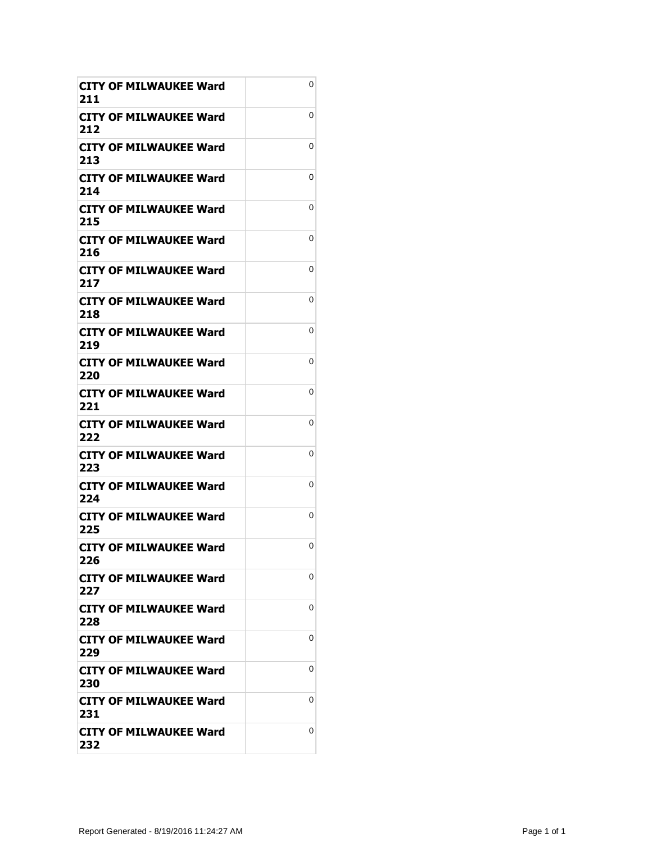| CITY OF MILWAUKEE Ward<br>211        | 0 |
|--------------------------------------|---|
| CITY OF MILWAUKEE Ward<br>212        | 0 |
| CITY OF MILWAUKEE Ward<br>213        | 0 |
| <b>CITY OF MILWAUKEE Ward</b><br>214 | 0 |
| CITY OF MILWAUKEE Ward<br>215        | 0 |
| <b>CITY OF MILWAUKEE Ward</b><br>216 | 0 |
| CITY OF MILWAUKEE Ward<br>217        | 0 |
| <b>CITY OF MILWAUKEE Ward</b><br>218 | 0 |
| CITY OF MILWAUKEE Ward<br>219        | 0 |
| CITY OF MILWAUKEE Ward<br>220        | 0 |
| <b>CITY OF MILWAUKEE Ward</b><br>221 | 0 |
| CITY OF MILWAUKEE Ward<br>222        | 0 |
| CITY OF MILWAUKEE Ward<br>223        | 0 |
| CITY OF MILWAUKEE Ward<br>224        | 0 |
| <b>CITY OF MILWAUKEE Ward</b><br>225 | 0 |
| <b>CITY OF MILWAUKEE Ward</b><br>226 | 0 |
| <b>CITY OF MILWAUKEE Ward</b><br>227 | 0 |
| CITY OF MILWAUKEE Ward<br>228        | 0 |
| <b>CITY OF MILWAUKEE Ward</b><br>229 | 0 |
| CITY OF MILWAUKEE Ward<br>230        | 0 |
| <b>CITY OF MILWAUKEE Ward</b><br>231 | 0 |
| <b>CITY OF MILWAUKEE Ward</b><br>232 | 0 |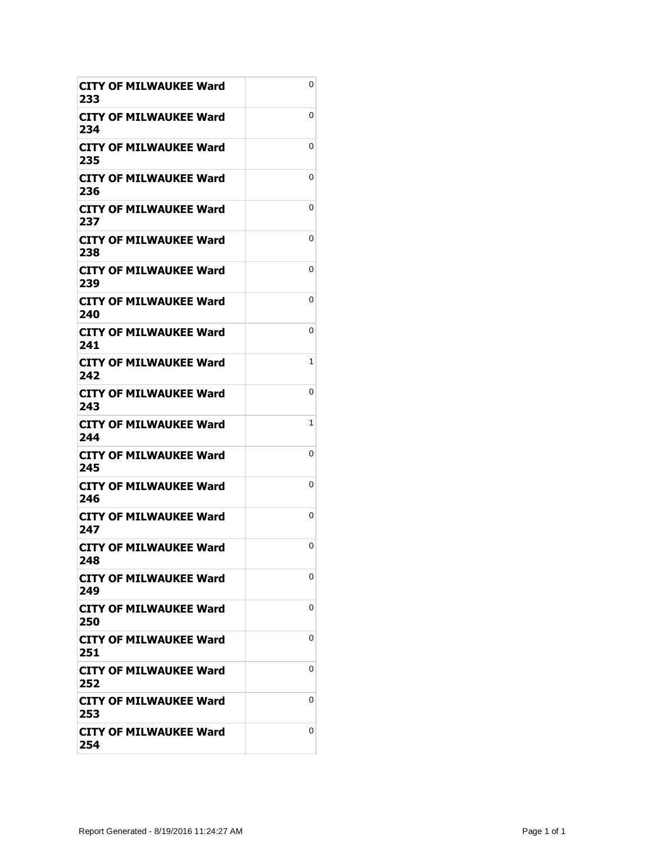| CITY OF MILWAUKEE Ward<br>233        | 0 |
|--------------------------------------|---|
| CITY OF MILWAUKEE Ward<br>234        | 0 |
| CITY OF MILWAUKEE Ward<br>235        | 0 |
| <b>CITY OF MILWAUKEE Ward</b><br>236 | 0 |
| CITY OF MILWAUKEE Ward<br>237        | 0 |
| CITY OF MILWAUKEE Ward<br>238        | 0 |
| <b>CITY OF MILWAUKEE Ward</b><br>239 | 0 |
| <b>CITY OF MILWAUKEE Ward</b><br>240 | 0 |
| CITY OF MILWAUKEE Ward<br>241        | 0 |
| CITY OF MILWAUKEE Ward<br>242        | 1 |
| <b>CITY OF MILWAUKEE Ward</b><br>243 | 0 |
| CITY OF MILWAUKEE Ward<br>244        | 1 |
| CITY OF MILWAUKEE Ward<br>245        | 0 |
| CITY OF MILWAUKEE Ward<br>246        | 0 |
| <b>CITY OF MILWAUKEE Ward</b><br>247 | 0 |
| <b>CITY OF MILWAUKEE Ward</b><br>248 | 0 |
| CITY OF MILWAUKEE Ward<br>249        | 0 |
| CITY OF MILWAUKEE Ward<br>250        | 0 |
| <b>CITY OF MILWAUKEE Ward</b><br>251 | 0 |
| CITY OF MILWAUKEE Ward<br>252        | 0 |
| <b>CITY OF MILWAUKEE Ward</b><br>253 | 0 |
| <b>CITY OF MILWAUKEE Ward</b><br>254 | 0 |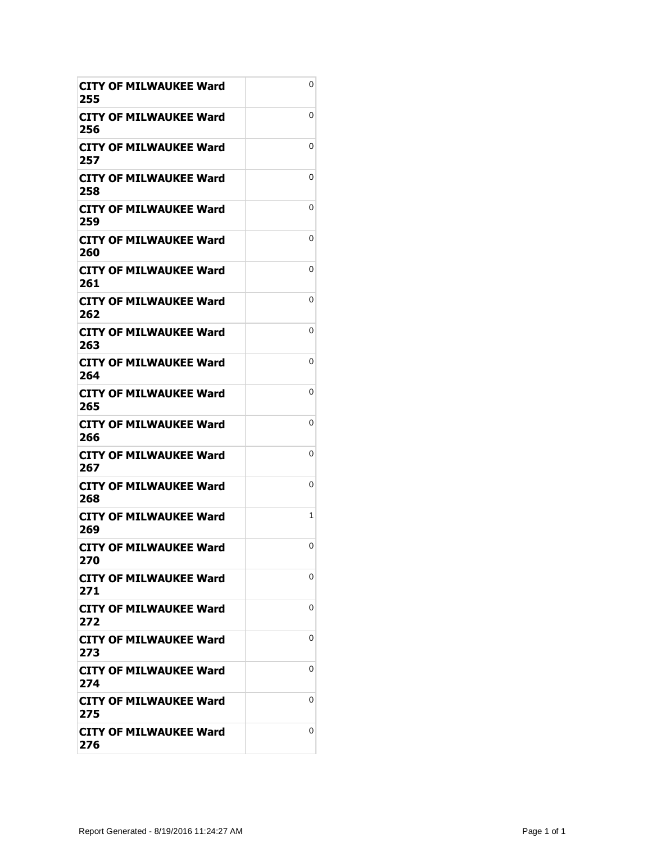| CITY OF MILWAUKEE Ward<br>255        | 0 |
|--------------------------------------|---|
| CITY OF MILWAUKEE Ward<br>256        | 0 |
| CITY OF MILWAUKEE Ward<br>257        | 0 |
| <b>CITY OF MILWAUKEE Ward</b><br>258 | 0 |
| <b>CITY OF MILWAUKEE Ward</b><br>259 | 0 |
| CITY OF MILWAUKEE Ward<br>260        | 0 |
| <b>CITY OF MILWAUKEE Ward</b><br>261 | 0 |
| <b>CITY OF MILWAUKEE Ward</b><br>262 | 0 |
| CITY OF MILWAUKEE Ward<br>263        | 0 |
| <b>CITY OF MILWAUKEE Ward</b><br>264 | 0 |
| <b>CITY OF MILWAUKEE Ward</b><br>265 | 0 |
| CITY OF MILWAUKEE Ward<br>266        | 0 |
| CITY OF MILWAUKEE Ward<br>267        | 0 |
| CITY OF MILWAUKEE Ward<br>268        | 0 |
| <b>CITY OF MILWAUKEE Ward</b><br>269 | 1 |
| <b>CITY OF MILWAUKEE Ward</b><br>270 | 0 |
| CITY OF MILWAUKEE Ward<br>271        | 0 |
| <b>CITY OF MILWAUKEE Ward</b><br>272 | 0 |
| <b>CITY OF MILWAUKEE Ward</b><br>273 | 0 |
| CITY OF MILWAUKEE Ward<br>274        | 0 |
| <b>CITY OF MILWAUKEE Ward</b><br>275 | 0 |
| <b>CITY OF MILWAUKEE Ward</b><br>276 | 0 |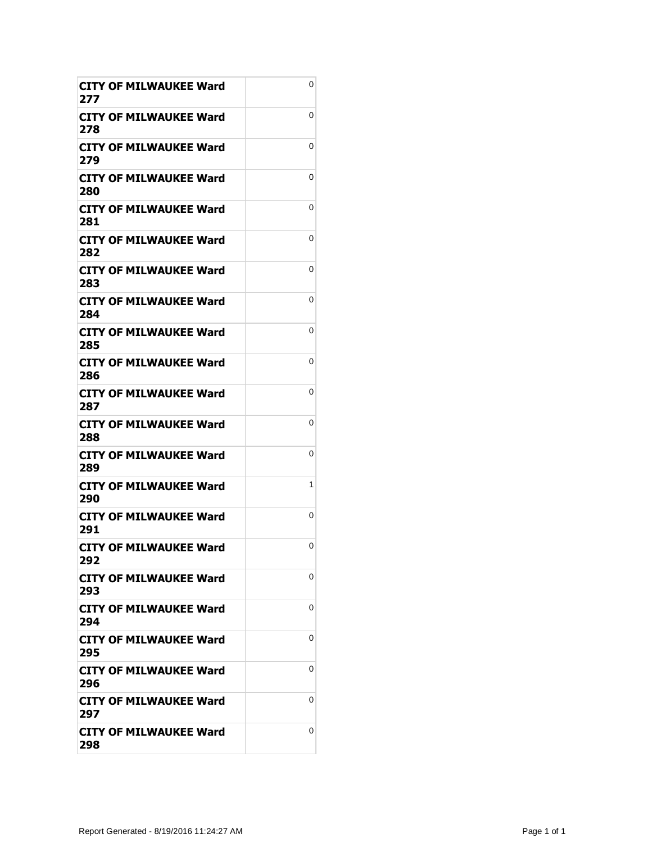| CITY OF MILWAUKEE Ward<br>277        | 0 |
|--------------------------------------|---|
| CITY OF MILWAUKEE Ward<br>278        | 0 |
| CITY OF MILWAUKEE Ward<br>279        | 0 |
| <b>CITY OF MILWAUKEE Ward</b><br>280 | 0 |
| <b>CITY OF MILWAUKEE Ward</b><br>281 | 0 |
| CITY OF MILWAUKEE Ward<br>282        | 0 |
| CITY OF MILWAUKEE Ward<br>283        | 0 |
| <b>CITY OF MILWAUKEE Ward</b><br>284 | 0 |
| CITY OF MILWAUKEE Ward<br>285        | 0 |
| <b>CITY OF MILWAUKEE Ward</b><br>286 | 0 |
| <b>CITY OF MILWAUKEE Ward</b><br>287 | 0 |
| CITY OF MILWAUKEE Ward<br>288        | 0 |
| <b>CITY OF MILWAUKEE Ward</b><br>289 | 0 |
| CITY OF MILWAUKEE Ward<br>290        | 1 |
| <b>CITY OF MILWAUKEE Ward</b><br>291 | 0 |
| <b>CITY OF MILWAUKEE Ward</b><br>292 | 0 |
| CITY OF MILWAUKEE Ward<br>293        | 0 |
| CITY OF MILWAUKEE Ward<br>294        | 0 |
| <b>CITY OF MILWAUKEE Ward</b><br>295 | 0 |
| CITY OF MILWAUKEE Ward<br>296        | 0 |
| <b>CITY OF MILWAUKEE Ward</b><br>297 | 0 |
| <b>CITY OF MILWAUKEE Ward</b><br>298 | 0 |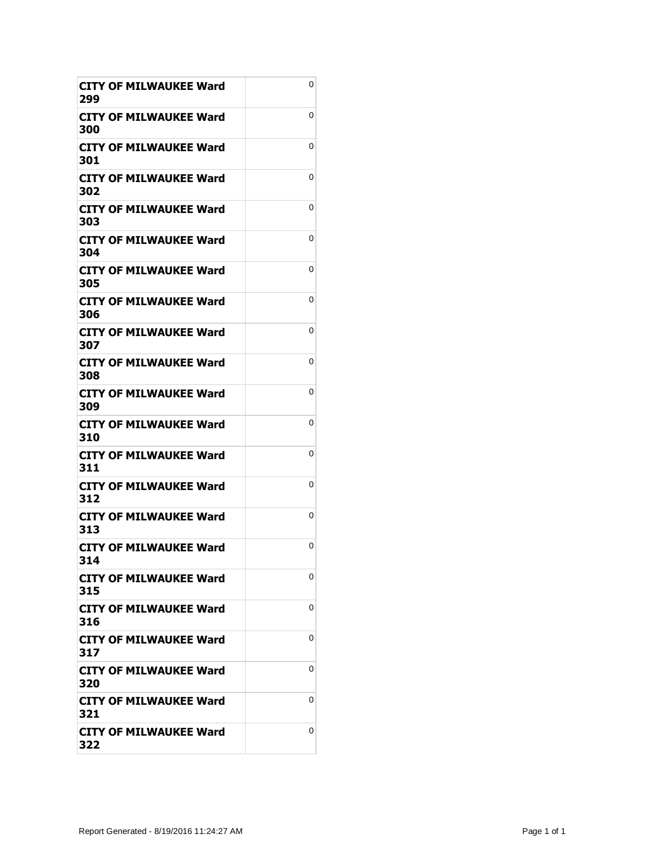| CITY OF MILWAUKEE Ward<br>299        | 0 |
|--------------------------------------|---|
| CITY OF MILWAUKEE Ward<br>300        | 0 |
| CITY OF MILWAUKEE Ward<br>301        | 0 |
| <b>CITY OF MILWAUKEE Ward</b><br>302 | 0 |
| CITY OF MILWAUKEE Ward<br>303        | 0 |
| <b>CITY OF MILWAUKEE Ward</b><br>304 | 0 |
| CITY OF MILWAUKEE Ward<br>305        | 0 |
| <b>CITY OF MILWAUKEE Ward</b><br>306 | 0 |
| CITY OF MILWAUKEE Ward<br>307        | 0 |
| CITY OF MILWAUKEE Ward<br>308        | 0 |
| <b>CITY OF MILWAUKEE Ward</b><br>309 | 0 |
| CITY OF MILWAUKEE Ward<br>310        | 0 |
| <b>CITY OF MILWAUKEE Ward</b><br>311 | 0 |
| CITY OF MILWAUKEE Ward<br>312        | 0 |
| <b>CITY OF MILWAUKEE Ward</b><br>313 | 0 |
| <b>CITY OF MILWAUKEE Ward</b><br>314 | 0 |
| CITY OF MILWAUKEE Ward<br>315        | 0 |
| CITY OF MILWAUKEE Ward<br>316        | 0 |
| <b>CITY OF MILWAUKEE Ward</b><br>317 | 0 |
| CITY OF MILWAUKEE Ward<br>320        | 0 |
| <b>CITY OF MILWAUKEE Ward</b><br>321 | 0 |
| <b>CITY OF MILWAUKEE Ward</b><br>322 | 0 |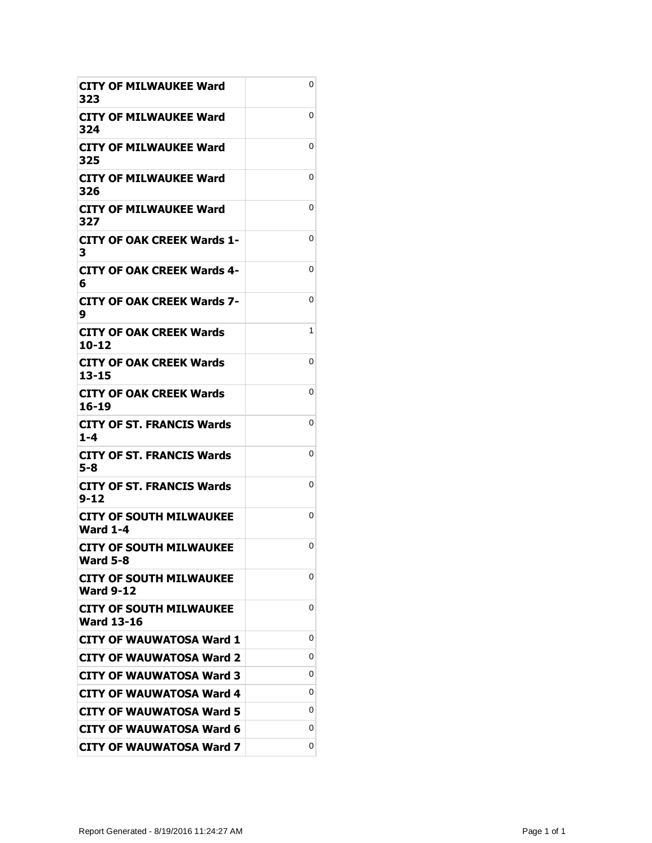| CITY OF MILWAUKEE Ward<br>323                       | 0 |
|-----------------------------------------------------|---|
| <b>CITY OF MILWAUKEE Ward</b><br>324                | 0 |
| CITY OF MILWAUKEE Ward<br>325                       | 0 |
| <b>CITY OF MILWAUKEE Ward</b><br>326                | 0 |
| <b>CITY OF MILWAUKEE Ward</b><br>327                | 0 |
| <b>CITY OF OAK CREEK Wards 1-</b><br>з              | 0 |
| CITY OF OAK CREEK Wards 4-<br>6                     | 0 |
| <b>CITY OF OAK CREEK Wards 7-</b><br>9              | 0 |
| CITY OF OAK CREEK Wards<br>10-12                    | 1 |
| CITY OF OAK CREEK Wards<br>$13 - 15$                | 0 |
| <b>CITY OF OAK CREEK Wards</b><br>16-19             | 0 |
| <b>CITY OF ST. FRANCIS Wards</b><br>$1 - 4$         | 0 |
| <b>CITY OF ST. FRANCIS Wards</b><br>5-8             | 0 |
| CITY OF ST. FRANCIS Wards<br>$9 - 12$               | 0 |
| <b>CITY OF SOUTH MILWAUKEE</b><br><b>Ward 1-4</b>   | 0 |
| <b>CITY OF SOUTH MILWAUKEE</b><br><b>Ward 5-8</b>   | 0 |
| <b>CITY OF SOUTH MILWAUKEE</b><br><b>Ward 9-12</b>  | 0 |
|                                                     |   |
| <b>CITY OF SOUTH MILWAUKEE</b><br><b>Ward 13-16</b> | 0 |
| <b>CITY OF WAUWATOSA Ward 1</b>                     | 0 |
| <b>CITY OF WAUWATOSA Ward 2</b>                     | 0 |
| CITY OF WAUWATOSA Ward 3                            | 0 |
| <b>CITY OF WAUWATOSA Ward 4</b>                     | 0 |
| <b>CITY OF WAUWATOSA Ward 5</b>                     | 0 |
| <b>CITY OF WAUWATOSA Ward 6</b>                     | 0 |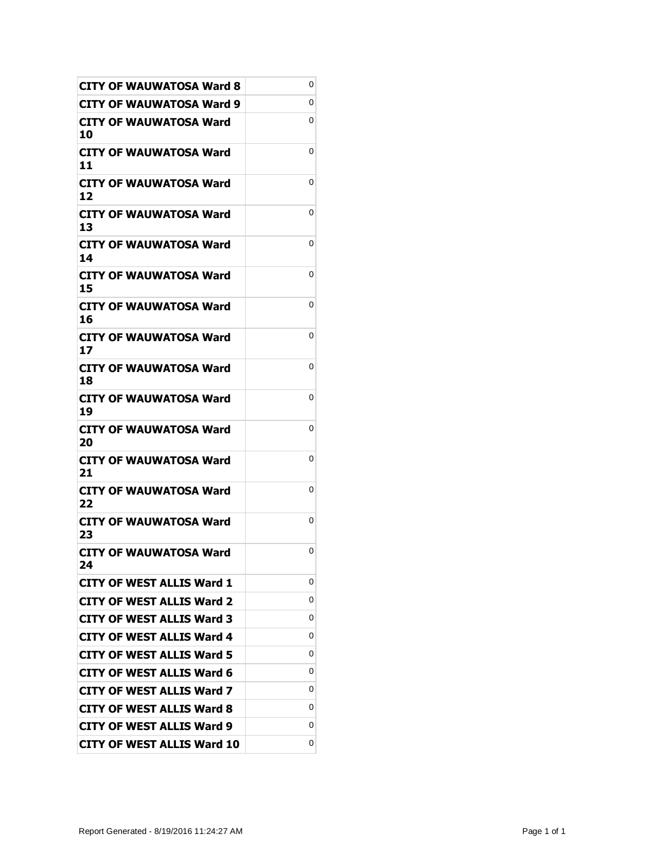| <b>CITY OF WAUWATOSA Ward 8</b>     | 0 |
|-------------------------------------|---|
| CITY OF WAUWATOSA Ward 9            | 0 |
| CITY OF WAUWATOSA Ward<br>10        | 0 |
| <b>CITY OF WAUWATOSA Ward</b><br>11 | 0 |
| <b>CITY OF WAUWATOSA Ward</b><br>12 | 0 |
| <b>CITY OF WAUWATOSA Ward</b><br>13 | 0 |
| CITY OF WAUWATOSA Ward<br>14        | 0 |
| CITY OF WAUWATOSA Ward<br>15        | 0 |
| CITY OF WAUWATOSA Ward<br>16        | 0 |
| CITY OF WAUWATOSA Ward<br>17        | 0 |
| <b>CITY OF WAUWATOSA Ward</b><br>18 | 0 |
| CITY OF WAUWATOSA Ward<br>19        | 0 |
| CITY OF WAUWATOSA Ward<br>20        | 0 |
| CITY OF WAUWATOSA Ward<br>21        | 0 |
| CITY OF WAUWATOSA Ward<br>22        | 0 |
| CITY OF WAUWATOSA Ward<br>23        | 0 |
| <b>CITY OF WAUWATOSA Ward</b><br>24 | 0 |
| <b>CITY OF WEST ALLIS Ward 1</b>    | 0 |
| <b>CITY OF WEST ALLIS Ward 2</b>    | 0 |
| <b>CITY OF WEST ALLIS Ward 3</b>    | 0 |
| <b>CITY OF WEST ALLIS Ward 4</b>    | 0 |
| <b>CITY OF WEST ALLIS Ward 5</b>    | 0 |
| <b>CITY OF WEST ALLIS Ward 6</b>    | 0 |
| <b>CITY OF WEST ALLIS Ward 7</b>    | 0 |
| <b>CITY OF WEST ALLIS Ward 8</b>    | 0 |
| <b>CITY OF WEST ALLIS Ward 9</b>    | 0 |
| <b>CITY OF WEST ALLIS Ward 10</b>   | 0 |